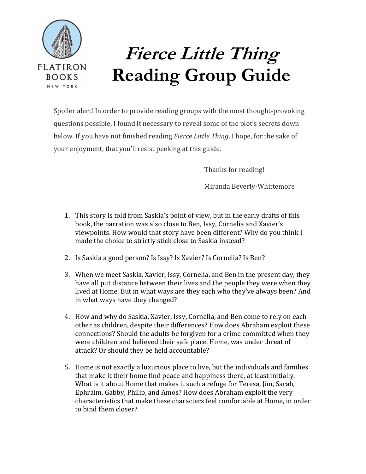

## **Fierce Little Thing Reading Group Guide**

Spoiler alert! In order to provide reading groups with the most thought-provoking questions possible, I found it necessary to reveal some of the plot's secrets down below. If you have not finished reading *Fierce Little Thing*, I hope, for the sake of your enjoyment, that you'll resist peeking at this guide.

Thanks for reading!

Miranda Beverly-Whittemore

- 1. This story is told from Saskia's point of view, but in the early drafts of this book, the narration was also close to Ben, Issy, Cornelia and Xavier's viewpoints. How would that story have been different? Why do you think I made the choice to strictly stick close to Saskia instead?
- 2. Is Saskia a good person? Is Issy? Is Xavier? Is Cornelia? Is Ben?
- 3. When we meet Saskia, Xavier, Issy, Cornelia, and Ben in the present day, they have all put distance between their lives and the people they were when they lived at Home. But in what ways are they each who they've always been? And in what ways have they changed?
- 4. How and why do Saskia, Xavier, Issy, Cornelia, and Ben come to rely on each other as children, despite their differences? How does Abraham exploit these connections? Should the adults be forgiven for a crime committed when they were children and believed their safe place, Home, was under threat of attack? Or should they be held accountable?
- 5. Home is not exactly a luxurious place to live, but the individuals and families that make it their home find peace and happiness there, at least initially. What is it about Home that makes it such a refuge for Teresa, Jim, Sarah, Ephraim, Gabby, Philip, and Amos? How does Abraham exploit the very characteristics that make these characters feel comfortable at Home, in order to bind them closer?